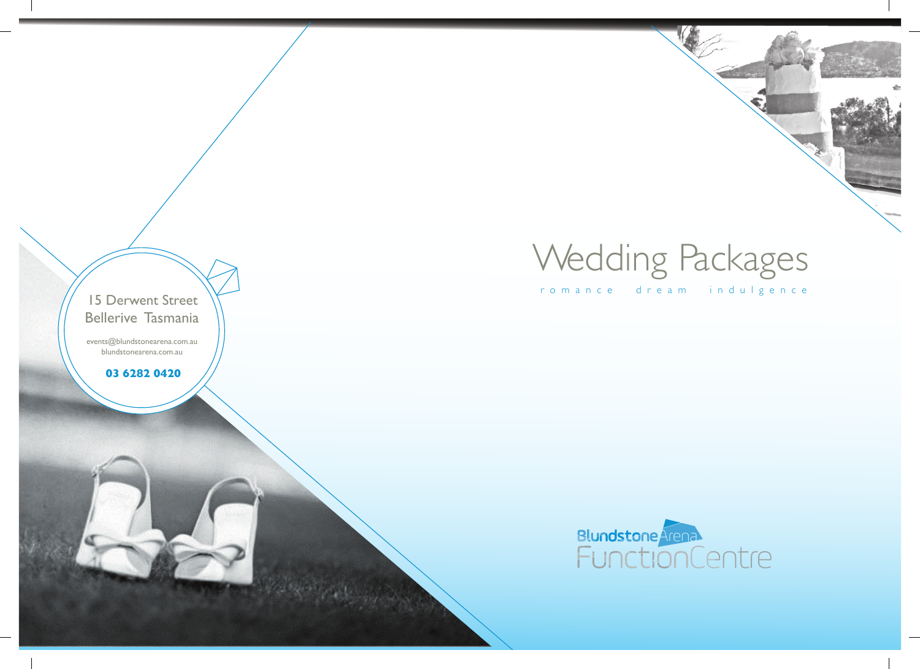